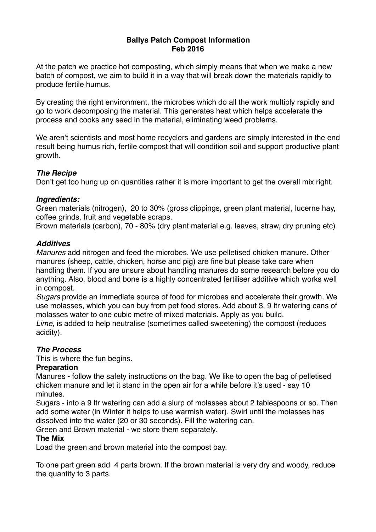### **Ballys Patch Compost Information Feb 2016**

At the patch we practice hot composting, which simply means that when we make a new batch of compost, we aim to build it in a way that will break down the materials rapidly to produce fertile humus.

By creating the right environment, the microbes which do all the work multiply rapidly and go to work decomposing the material. This generates heat which helps accelerate the process and cooks any seed in the material, eliminating weed problems.

We aren't scientists and most home recyclers and gardens are simply interested in the end result being humus rich, fertile compost that will condition soil and support productive plant growth.

# *The Recipe*

Don't get too hung up on quantities rather it is more important to get the overall mix right.

## *Ingredients:*

Green materials (nitrogen), 20 to 30% (gross clippings, green plant material, lucerne hay, coffee grinds, fruit and vegetable scraps.

Brown materials (carbon), 70 - 80% (dry plant material e.g. leaves, straw, dry pruning etc)

## *Additives*

*Manures* add nitrogen and feed the microbes. We use pelletised chicken manure. Other manures (sheep, cattle, chicken, horse and pig) are fine but please take care when handling them. If you are unsure about handling manures do some research before you do anything. Also, blood and bone is a highly concentrated fertiliser additive which works well in compost.

*Sugars* provide an immediate source of food for microbes and accelerate their growth. We use molasses, which you can buy from pet food stores. Add about 3, 9 ltr watering cans of molasses water to one cubic metre of mixed materials. Apply as you build.

*Lime*, is added to help neutralise (sometimes called sweetening) the compost (reduces acidity).

# *The Process*

This is where the fun begins.

# **Preparation**

Manures - follow the safety instructions on the bag. We like to open the bag of pelletised chicken manure and let it stand in the open air for a while before it's used - say 10 minutes.

Sugars - into a 9 ltr watering can add a slurp of molasses about 2 tablespoons or so. Then add some water (in Winter it helps to use warmish water). Swirl until the molasses has dissolved into the water (20 or 30 seconds). Fill the watering can.

Green and Brown material - we store them separately.

### **The Mix**

Load the green and brown material into the compost bay.

To one part green add 4 parts brown. If the brown material is very dry and woody, reduce the quantity to 3 parts.